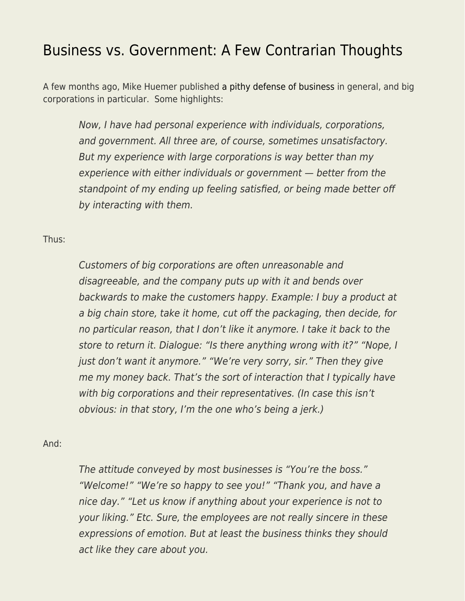## [Business vs. Government: A Few Contrarian Thoughts](https://everything-voluntary.com/business-vs-government-a-few-contrarian-thoughts)

A few months ago, Mike Huemer published [a pithy defense of business](https://fakenous.net/?p=1507) in general, and big corporations in particular. Some highlights:

Now, I have had personal experience with individuals, corporations, and government. All three are, of course, sometimes unsatisfactory. But my experience with large corporations is way better than my experience with either individuals or government — better from the standpoint of my ending up feeling satisfied, or being made better off by interacting with them.

## Thus:

Customers of big corporations are often unreasonable and disagreeable, and the company puts up with it and bends over backwards to make the customers happy. Example: I buy a product at a big chain store, take it home, cut off the packaging, then decide, for no particular reason, that I don't like it anymore. I take it back to the store to return it. Dialogue: "Is there anything wrong with it?" "Nope, I just don't want it anymore." "We're very sorry, sir." Then they give me my money back. That's the sort of interaction that I typically have with big corporations and their representatives. (In case this isn't obvious: in that story, I'm the one who's being a jerk.)

## And:

The attitude conveyed by most businesses is "You're the boss." "Welcome!" "We're so happy to see you!" "Thank you, and have a nice day." "Let us know if anything about your experience is not to your liking." Etc. Sure, the employees are not really sincere in these expressions of emotion. But at least the business thinks they should act like they care about you.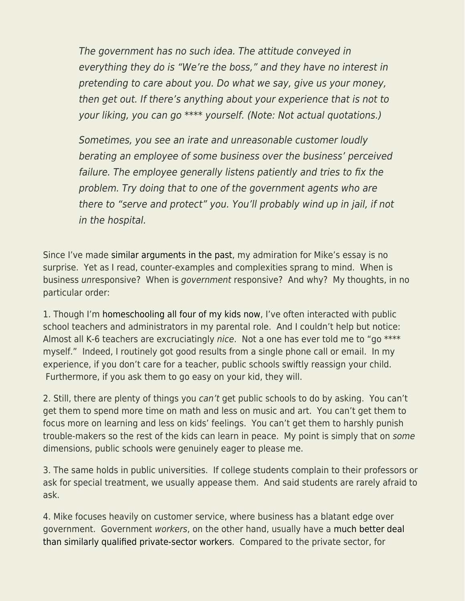The government has no such idea. The attitude conveyed in everything they do is "We're the boss," and they have no interest in pretending to care about you. Do what we say, give us your money, then get out. If there's anything about your experience that is not to your liking, you can go \*\*\*\* yourself. (Note: Not actual quotations.)

Sometimes, you see an irate and unreasonable customer loudly berating an employee of some business over the business' perceived failure. The employee generally listens patiently and tries to fix the problem. Try doing that to one of the government agents who are there to "serve and protect" you. You'll probably wind up in jail, if not in the hospital.

Since I've made [similar arguments in the past,](https://www.econlib.org/pro-market-and-pro-business/) my admiration for Mike's essay is no surprise. Yet as I read, counter-examples and complexities sprang to mind. When is business unresponsive? When is government responsive? And why? My thoughts, in no particular order:

1. Though I'm [homeschooling all four of my kids now](https://www.econlib.org/bryan-caplan-on-homeschooling/), I've often interacted with public school teachers and administrators in my parental role. And I couldn't help but notice: Almost all K-6 teachers are excruciatingly nice. Not a one has ever told me to "go \*\*\*\* myself." Indeed, I routinely got good results from a single phone call or email. In my experience, if you don't care for a teacher, public schools swiftly reassign your child. Furthermore, if you ask them to go easy on your kid, they will.

2. Still, there are plenty of things you can't get public schools to do by asking. You can't get them to spend more time on math and less on music and art. You can't get them to focus more on learning and less on kids' feelings. You can't get them to harshly punish trouble-makers so the rest of the kids can learn in peace. My point is simply that on some dimensions, public schools were genuinely eager to please me.

3. The same holds in public universities. If college students complain to their professors or ask for special treatment, we usually appease them. And said students are rarely afraid to ask.

4. Mike focuses heavily on customer service, where business has a blatant edge over government. Government workers, on the other hand, usually have a [much better deal](https://www.econlib.org/archives/2013/04/public_vs_priva.html) [than similarly qualified private-sector workers.](https://www.econlib.org/archives/2013/04/public_vs_priva.html) Compared to the private sector, for